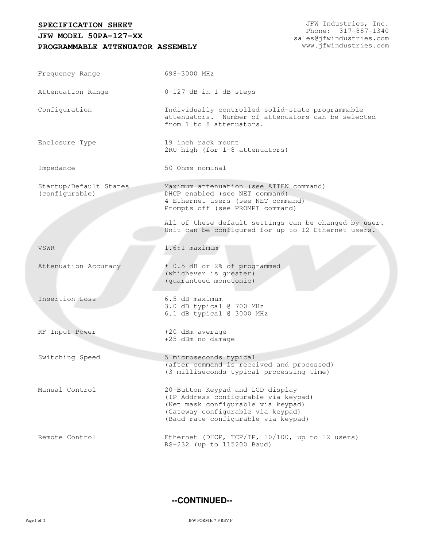**SPECIFICATION SHEET**

## **PROGRAMMABLE ATTENUATOR ASSEMBLY JFW MODEL 50PA-127-XX**

JFW Industries, Inc. Phone: 317-887-1340 sales@jfwindustries.com www.jfwindustries.com

| Frequency Range                          | 698-3000 MHz                                                                                                                                                                               |  |  |
|------------------------------------------|--------------------------------------------------------------------------------------------------------------------------------------------------------------------------------------------|--|--|
| Attenuation Range                        | 0-127 dB in 1 dB steps                                                                                                                                                                     |  |  |
| Configuration                            | Individually controlled solid-state programmable<br>attenuators. Number of attenuators can be selected<br>from 1 to 8 attenuators.                                                         |  |  |
| Enclosure Type                           | 19 inch rack mount<br>2RU high (for 1-8 attenuators)                                                                                                                                       |  |  |
| Impedance                                | 50 Ohms nominal                                                                                                                                                                            |  |  |
| Startup/Default States<br>(configurable) | Maximum attenuation (see ATTEN command)<br>DHCP enabled (see NET command)<br>4 Ethernet users (see NET command)<br>Prompts off (see PROMPT command)                                        |  |  |
|                                          | All of these default settings can be changed by user.<br>Unit can be configured for up to 12 Ethernet users.                                                                               |  |  |
| <b>VSWR</b>                              | $1.6:1$ maximum                                                                                                                                                                            |  |  |
| Attenuation Accuracy                     | ± 0.5 dB or 2% of programmed<br>(whichever is greater)<br>(guaranteed monotonic)                                                                                                           |  |  |
| Insertion Loss                           | 6.5 dB maximum<br>3.0 dB typical @ 700 MHz<br>6.1 dB typical @ 3000 MHz                                                                                                                    |  |  |
| RF Input Power                           | +20 dBm average<br>+25 dBm no damage                                                                                                                                                       |  |  |
| Switching Speed                          | 5 microseconds typical<br>(after command is received and processed)<br>(3 milliseconds typical processing time)                                                                            |  |  |
| Manual Control                           | 20-Button Keypad and LCD display<br>(IP Address configurable via keypad)<br>(Net mask configurable via keypad)<br>(Gateway configurable via keypad)<br>(Baud rate configurable via keypad) |  |  |
| Remote Control                           | Ethernet (DHCP, TCP/IP, 10/100, up to 12 users)<br>RS-232 (up to 115200 Baud)                                                                                                              |  |  |

**--CONTINUED--**